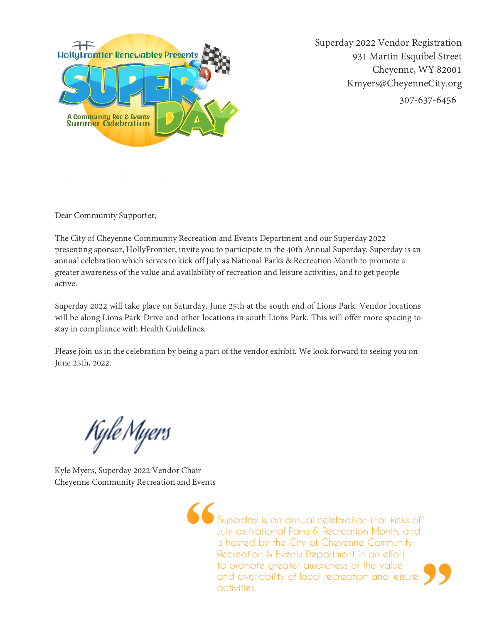

Superday 2022 Vendor Registration 931 Martin Esquibel Street Cheyenne, WY 82001 Kmyers@CheyenneCity.org 307-637-6456

Dear Community Supporter,

The City of Cheyenne Community Recreation and Events Department and our Superday 2022<br>presenting sponsor, HollyFrontier, invite you to participate in the 40th Annual Superday. Superday is an<br>annual celebration which serves

Superday 2022 will take place on Saturday, June 25th at the south end of Lions Park. Vendor locations<br>will be along Lions Park Drive and other locations in south Lions Park. This will offer more spacing to<br>stay in complian

Please join us in the celebration by being a part of the vendor exhibit. We look forward to seeing you on June 25th, 2022.

Kyle Myers

Kyle Myers, Superday 2022 Vendor Chair Cheyenne Community Recreation and Events

Superday is an annual celebration that kicks off July as National Parks & Recreation Month, and is hosted by the City of Cheyenne Community Recreation & Events Department in an effort to promote greater awareness of the value and availability of local recreation and leisure activities.

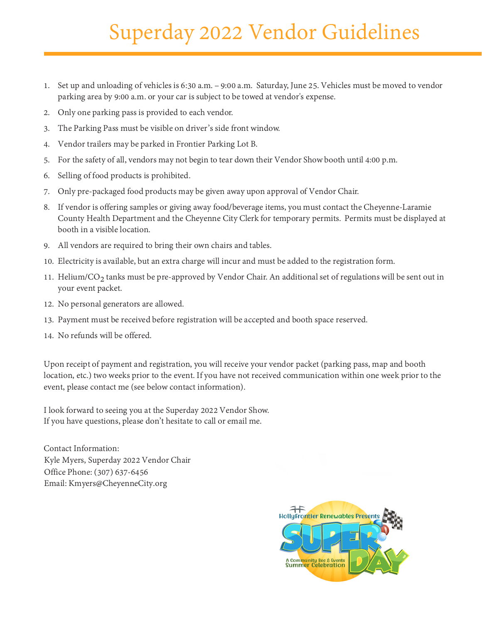## Superday 2022 Vendor Guidelines

- 1. Set up and unloading of vehicles is 6:30 a.m. 9:00 a.m. Saturday, June 25. Vehicles must be moved to vendor Set up and unloading of vehicles is 6:30 a.m. – 9:00 a.m. Saturday, June 25. Veh<br>parking area by 9:00 a.m. or your car is subject to be towed at vendor's expense.
- 2. Only one parking pass is provided to each vendor.
- 3. The Parking Pass must be visible on driver's side front window.
- 4. Vendor trailers may be parked in Frontier Parking Lot B.
- 5. For the safety of all, vendors may not begin to tear down their Vendor Show booth until 4:00 p.m.
- 6. Selling of food products is prohibited.
- 7. Only pre-packaged food products may be given away upon approval of Vendor Chair.
- 8. If vendor is offering samples or giving away food/beverage items, you must contact the Cheyenne-Laramie County Health Department and the Cheyenne City Clerk for temporary permits. Permits must be displayed at booth in a visible location.
- 9. All vendors are required to bring their own chairs and tables.
- 10. Electricity is available, but an extra charge will incur and must be added to the registration form.
- 11. Helium/ $CO_2$  tanks must be pre-approved by Vendor Chair. An additional set of regulations will be sent out in your event packet.
- 12. No personal generators are allowed.
- 13. Payment must be received before registration will be accepted and booth space reserved.
- 14. No refunds will be offered.

Upon receipt of payment and registration, you will receive your vendor packet (parking pass, map and booth location, etc.) two weeks prior to the event. If you have not received communication within one week prior to the event, please contact me (see below contact information).

I look forward to seeing you at the Superday 2022 Vendor Show. If you have questions, please don't hesitate to call or email me.

Contact Information: Kyle Myers, Superday 2022 Vendor Chair Office Phone: (307) 637-6456 Email: Kmyers@CheyenneCity.org